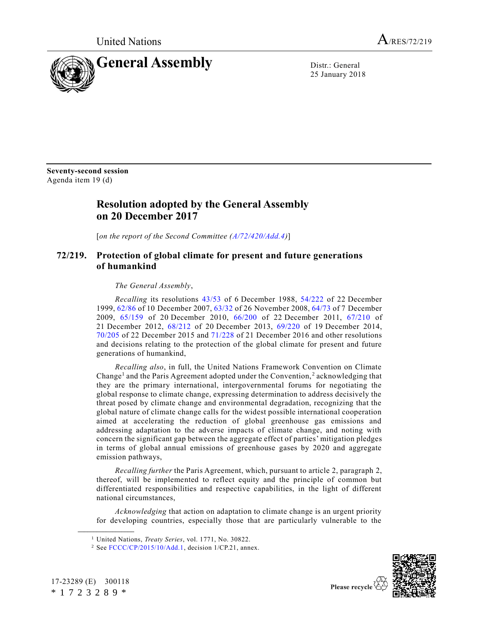

25 January 2018

**Seventy-second session** Agenda item 19 (d)

## **Resolution adopted by the General Assembly on 20 December 2017**

[*on the report of the Second Committee [\(A/72/420/Add.4\)](https://undocs.org/A/72/420/Add.4)*]

## **72/219. Protection of global climate for present and future generations of humankind**

*The General Assembly*,

*Recalling* its resolutions [43/53](https://undocs.org/A/RES/43/53) of 6 December 1988, [54/222](https://undocs.org/A/RES/54/222) of 22 December 1999, [62/86](https://undocs.org/A/RES/62/86) of 10 December 2007[, 63/32](https://undocs.org/A/RES/63/32) of 26 November 2008[, 64/73](https://undocs.org/A/RES/64/73) of 7 December 2009, [65/159](https://undocs.org/A/RES/65/159) of 20 December 2010, [66/200](https://undocs.org/A/RES/66/200) of 22 December 2011, [67/210](https://undocs.org/A/RES/67/210) of 21 December 2012, [68/212](https://undocs.org/A/RES/68/212) of 20 December 2013, [69/220](https://undocs.org/A/RES/69/220) of 19 December 2014, [70/205](https://undocs.org/A/RES/70/205) of 22 December 2015 and [71/228](https://undocs.org/A/RES/71/228) of 21 December 2016 and other resolutions and decisions relating to the protection of the global climate for present and future generations of humankind,

<span id="page-0-1"></span>*Recalling also*, in full, the United Nations Framework Convention on Climate Change<sup>1</sup> and the Paris Agreement adopted under the Convention,<sup>2</sup> acknowledging that they are the primary international, intergovernmental forums for negotiating the global response to climate change, expressing determination to address decisively the threat posed by climate change and environmental degradation, recognizing that the global nature of climate change calls for the widest possible international cooperation aimed at accelerating the reduction of global greenhouse gas emissions and addressing adaptation to the adverse impacts of climate change, and noting with concern the significant gap between the aggregate effect of parties' mitigation pledges in terms of global annual emissions of greenhouse gases by 2020 and aggregate emission pathways,

*Recalling further* the Paris Agreement, which, pursuant to article 2, paragraph 2, thereof, will be implemented to reflect equity and the principle of common but differentiated responsibilities and respective capabilities, in the light of different national circumstances,

*Acknowledging* that action on adaptation to climate change is an urgent priority for developing countries, especially those that are particularly vulnerable to the

<sup>2</sup> See [FCCC/CP/2015/10/Add.1,](https://undocs.org/FCCC/CP/2015/10/Add.1) decision 1/CP.21, annex.



<span id="page-0-0"></span>

<sup>1</sup> United Nations, *Treaty Series*, vol. 1771, No. 30822.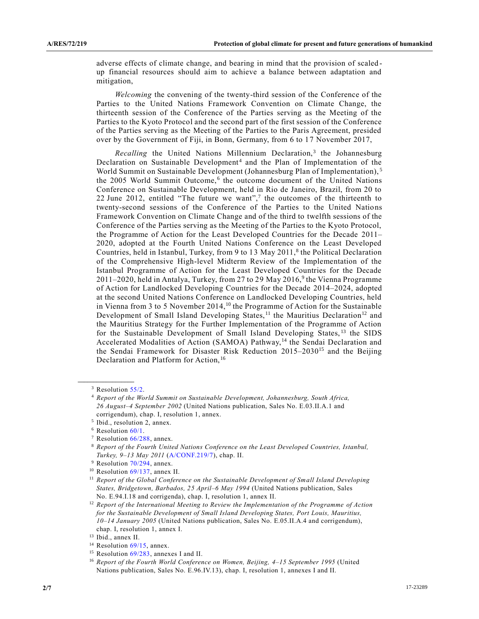adverse effects of climate change, and bearing in mind that the provision of scaled up financial resources should aim to achieve a balance between adaptation and mitigation,

*Welcoming* the convening of the twenty-third session of the Conference of the Parties to the United Nations Framework Convention on Climate Change, the thirteenth session of the Conference of the Parties serving as the Meeting of the Parties to the Kyoto Protocol and the second part of the first session of the Conference of the Parties serving as the Meeting of the Parties to the Paris Agreement, presided over by the Government of Fiji, in Bonn, Germany, from 6 to 17 November 2017,

Recalling the United Nations Millennium Declaration,<sup>3</sup> the Johannesburg Declaration on Sustainable Development<sup>4</sup> and the Plan of Implementation of the World Summit on Sustainable Development (Johannesburg Plan of Implementation), <sup>5</sup> the 2005 World Summit Outcome,<sup>6</sup> the outcome document of the United Nations Conference on Sustainable Development, held in Rio de Janeiro, Brazil, from 20 to 22 June 2012, entitled "The future we want",<sup>7</sup> the outcomes of the thirteenth to twenty-second sessions of the Conference of the Parties to the United Nations Framework Convention on Climate Change and of the third to twelfth sessions of the Conference of the Parties serving as the Meeting of the Parties to the Kyoto Protocol, the Programme of Action for the Least Developed Countries for the Decade 2011– 2020, adopted at the Fourth United Nations Conference on the Least Developed Countries, held in Istanbul, Turkey, from 9 to 13 May 2011,<sup>8</sup> the Political Declaration of the Comprehensive High-level Midterm Review of the Implementation of the Istanbul Programme of Action for the Least Developed Countries for the Decade  $2011-2020$ , held in Antalya, Turkey, from 27 to 29 May  $2016<sup>9</sup>$ , the Vienna Programme of Action for Landlocked Developing Countries for the Decade 2014–2024, adopted at the second United Nations Conference on Landlocked Developing Countries, held in Vienna from 3 to 5 November 2014,<sup>10</sup> the Programme of Action for the Sustainable Development of Small Island Developing States,<sup>11</sup> the Mauritius Declaration<sup>12</sup> and the Mauritius Strategy for the Further Implementation of the Programme of Action for the Sustainable Development of Small Island Developing States, <sup>13</sup> the SIDS Accelerated Modalities of Action (SAMOA) Pathway,<sup>14</sup> the Sendai Declaration and the Sendai Framework for Disaster Risk Reduction  $2015-2030^{15}$  and the Beijing Declaration and Platform for Action,<sup>16</sup>

<sup>&</sup>lt;sup>3</sup> Resolution [55/2.](https://undocs.org/A/RES/55/2)

<sup>4</sup> *Report of the World Summit on Sustainable Development, Johannesburg, South Africa, 26 August–4 September 2002* (United Nations publication, Sales No. E.03.II.A.1 and corrigendum), chap. I, resolution 1, annex.

<sup>&</sup>lt;sup>5</sup> Ibid., resolution 2, annex.

 $6$  Resolution  $60/1$ .

<sup>7</sup> Resolution [66/288,](https://undocs.org/A/RES/66/288) annex.

<sup>8</sup> *Report of the Fourth United Nations Conference on the Least Developed Countries, Istanbul, Turkey, 9–13 May 2011* [\(A/CONF.219/7\)](https://undocs.org/A/CONF.219/7), chap. II.

<sup>&</sup>lt;sup>9</sup> Resolution [70/294,](https://undocs.org/A/RES/70/294) annex.

<sup>10</sup> Resolution [69/137,](https://undocs.org/A/RES/69/137) annex II.

<sup>&</sup>lt;sup>11</sup> Report of the Global Conference on the Sustainable Development of Small Island Developing *States, Bridgetown, Barbados, 25 April–6 May 1994* (United Nations publication, Sales No. E.94.I.18 and corrigenda), chap. I, resolution 1, annex II.

<sup>12</sup> *Report of the International Meeting to Review the Implementation of the Programme of Action for the Sustainable Development of Small Island Developing States, Port Louis, Mauritius, 10–14 January 2005* (United Nations publication, Sales No. E.05.II.A.4 and corrigendum), chap. I, resolution 1, annex I.

<sup>13</sup> Ibid., annex II.

<sup>&</sup>lt;sup>14</sup> Resolution [69/15,](https://undocs.org/A/RES/69/15) annex.

<sup>&</sup>lt;sup>15</sup> Resolution [69/283,](https://undocs.org/A/RES/69/283) annexes I and II.

<sup>16</sup> *Report of the Fourth World Conference on Women, Beijing, 4–15 September 1995* (United Nations publication, Sales No. E.96.IV.13), chap. I, resolution 1, annexes I and II.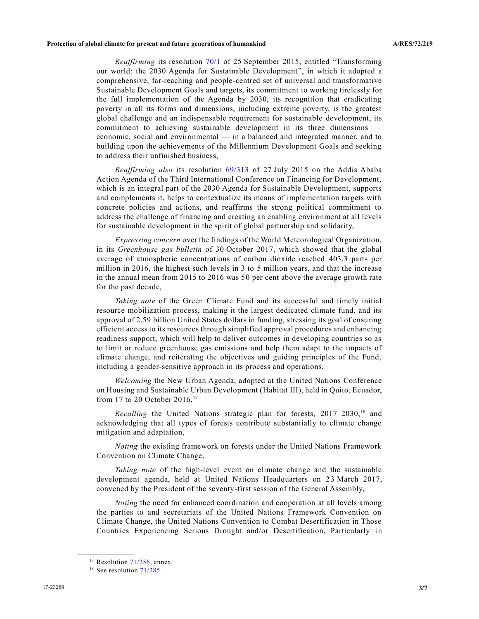*Reaffirming* its resolution [70/1](https://undocs.org/A/RES/70/1) of 25 September 2015, entitled "Transforming our world: the 2030 Agenda for Sustainable Development", in which it adopted a comprehensive, far-reaching and people-centred set of universal and transformative Sustainable Development Goals and targets, its commitment to working tirelessly for the full implementation of the Agenda by 2030, its recognition that eradicating poverty in all its forms and dimensions, including extreme poverty, is the greatest global challenge and an indispensable requirement for sustainable development, its commitment to achieving sustainable development in its three dimensions economic, social and environmental — in a balanced and integrated manner, and to building upon the achievements of the Millennium Development Goals and seeking to address their unfinished business,

*Reaffirming also* its resolution [69/313](https://undocs.org/A/RES/69/313) of 27 July 2015 on the Addis Ababa Action Agenda of the Third International Conference on Financing for Development, which is an integral part of the 2030 Agenda for Sustainable Development, supports and complements it, helps to contextualize its means of implementation targets with concrete policies and actions, and reaffirms the strong political commitment to address the challenge of financing and creating an enabling environment at all levels for sustainable development in the spirit of global partnership and solidarity,

*Expressing concern* over the findings of the World Meteorological Organization, in its *Greenhouse gas bulletin* of 30 October 2017, which showed that the global average of atmospheric concentrations of carbon dioxide reached 403.3 parts per million in 2016, the highest such levels in 3 to 5 million years, and that the increase in the annual mean from 2015 to 2016 was 50 per cent above the average growth rate for the past decade,

*Taking note* of the Green Climate Fund and its successful and timely initial resource mobilization process, making it the largest dedicated climate fund, and its approval of 2.59 billion United States dollars in funding, stressing its goal of ensuring efficient access to its resources through simplified approval procedures and enhancing readiness support, which will help to deliver outcomes in developing countries so as to limit or reduce greenhouse gas emissions and help them adapt to the impacts of climate change, and reiterating the objectives and guiding principles of the Fund, including a gender-sensitive approach in its process and operations,

*Welcoming* the New Urban Agenda, adopted at the United Nations Conference on Housing and Sustainable Urban Development (Habitat III), held in Quito, Ecuador, from 17 to 20 October 2016,<sup>17</sup>

*Recalling* the United Nations strategic plan for forests, 2017–2030,<sup>18</sup> and acknowledging that all types of forests contribute substantially to climate change mitigation and adaptation,

*Noting* the existing framework on forests under the United Nations Framework Convention on Climate Change,

*Taking note* of the high-level event on climate change and the sustainable development agenda, held at United Nations Headquarters on 23 March 2017, convened by the President of the seventy-first session of the General Assembly,

*Noting* the need for enhanced coordination and cooperation at all levels among the parties to and secretariats of the United Nations Framework Convention on Climate Change, the United Nations Convention to Combat Desertification in Those Countries Experiencing Serious Drought and/or Desertification, Particularly in

 $17$  Resolution [71/256,](https://undocs.org/A/RES/71/256) annex.

<sup>&</sup>lt;sup>18</sup> See resolution [71/285.](https://undocs.org/A/RES/71/285)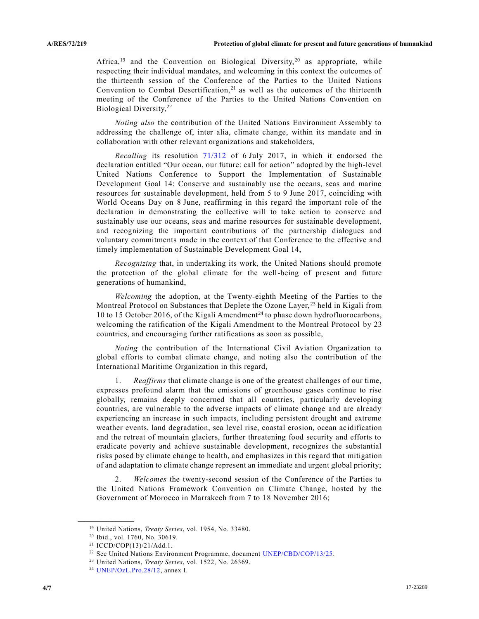Africa,<sup>19</sup> and the Convention on Biological Diversity,<sup>20</sup> as appropriate, while respecting their individual mandates, and welcoming in this context the outcomes of the thirteenth session of the Conference of the Parties to the United Nations Convention to Combat Desertification, $21$  as well as the outcomes of the thirteenth meeting of the Conference of the Parties to the United Nations Convention on Biological Diversity,<sup>22</sup>

*Noting also* the contribution of the United Nations Environment Assembly to addressing the challenge of, inter alia, climate change, within its mandate and in collaboration with other relevant organizations and stakeholders,

*Recalling* its resolution [71/312](https://undocs.org/A/RES/71/312) of 6 July 2017, in which it endorsed the declaration entitled "Our ocean, our future: call for action" adopted by the high-level United Nations Conference to Support the Implementation of Sustainable Development Goal 14: Conserve and sustainably use the oceans, seas and marine resources for sustainable development, held from 5 to 9 June 2017, coinciding with World Oceans Day on 8 June, reaffirming in this regard the important role of the declaration in demonstrating the collective will to take action to conserve and sustainably use our oceans, seas and marine resources for sustainable development, and recognizing the important contributions of the partnership dialogues and voluntary commitments made in the context of that Conference to the effective and timely implementation of Sustainable Development Goal 14,

*Recognizing* that, in undertaking its work, the United Nations should promote the protection of the global climate for the well-being of present and future generations of humankind,

*Welcoming* the adoption, at the Twenty-eighth Meeting of the Parties to the Montreal Protocol on Substances that Deplete the Ozone Layer, <sup>23</sup> held in Kigali from 10 to 15 October 2016, of the Kigali Amendment<sup>24</sup> to phase down hydrofluorocarbons, welcoming the ratification of the Kigali Amendment to the Montreal Protocol by 23 countries, and encouraging further ratifications as soon as possible,

*Noting* the contribution of the International Civil Aviation Organization to global efforts to combat climate change, and noting also the contribution of the International Maritime Organization in this regard,

1. *Reaffirms* that climate change is one of the greatest challenges of our time, expresses profound alarm that the emissions of greenhouse gases continue to rise globally, remains deeply concerned that all countries, particularly developing countries, are vulnerable to the adverse impacts of climate change and are already experiencing an increase in such impacts, including persistent drought and extreme weather events, land degradation, sea level rise, coastal erosion, ocean ac idification and the retreat of mountain glaciers, further threatening food security and efforts to eradicate poverty and achieve sustainable development, recognizes the substantial risks posed by climate change to health, and emphasizes in this regard that mitigation of and adaptation to climate change represent an immediate and urgent global priority;

2. *Welcomes* the twenty-second session of the Conference of the Parties to the United Nations Framework Convention on Climate Change, hosted by the Government of Morocco in Marrakech from 7 to 18 November 2016;

<sup>19</sup> United Nations, *Treaty Series*, vol. 1954, No. 33480.

<sup>20</sup> Ibid., vol. 1760, No. 30619.

<sup>21</sup> ICCD/COP(13)/21/Add.1.

<sup>&</sup>lt;sup>22</sup> See United Nations Environment Programme, document [UNEP/CBD/COP/13/25.](https://undocs.org/UNEP/CBD/COP/13/25)

<sup>23</sup> United Nations, *Treaty Series*, vol. 1522, No. 26369.

<sup>24</sup> [UNEP/OzL.Pro.28/12,](https://undocs.org/UNEP/OzL.Pro.28/12) annex I.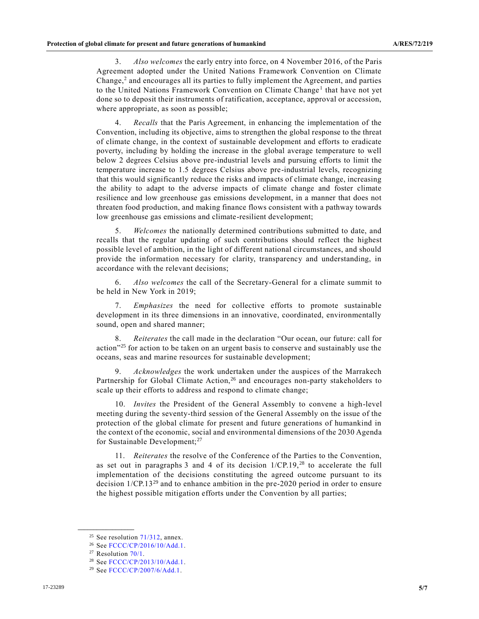3. *Also welcomes* the early entry into force, on 4 November 2016, of the Paris Agreement adopted under the United Nations Framework Convention on Climate Change, $<sup>2</sup>$  $<sup>2</sup>$  $<sup>2</sup>$  and encourages all its parties to fully implement the Agreement, and parties</sup> to the United Nations Framework Convention on Climate Change<sup>[1](#page-0-1)</sup> that have not yet done so to deposit their instruments of ratification, acceptance, approval or accession, where appropriate, as soon as possible;

4. *Recalls* that the Paris Agreement, in enhancing the implementation of the Convention, including its objective, aims to strengthen the global response to the threat of climate change, in the context of sustainable development and efforts to eradicate poverty, including by holding the increase in the global average temperature to well below 2 degrees Celsius above pre-industrial levels and pursuing efforts to limit the temperature increase to 1.5 degrees Celsius above pre-industrial levels, recognizing that this would significantly reduce the risks and impacts of climate change, increasing the ability to adapt to the adverse impacts of climate change and foster climate resilience and low greenhouse gas emissions development, in a manner that does not threaten food production, and making finance flows consistent with a pathway towards low greenhouse gas emissions and climate-resilient development;

5. *Welcomes* the nationally determined contributions submitted to date, and recalls that the regular updating of such contributions should reflect the highest possible level of ambition, in the light of different national circumstances, and should provide the information necessary for clarity, transparency and understanding, in accordance with the relevant decisions;

6. *Also welcomes* the call of the Secretary-General for a climate summit to be held in New York in 2019;

7. *Emphasizes* the need for collective efforts to promote sustainable development in its three dimensions in an innovative, coordinated, environmentally sound, open and shared manner;

8. *Reiterates* the call made in the declaration "Our ocean, our future: call for action<sup>325</sup> for action to be taken on an urgent basis to conserve and sustainably use the oceans, seas and marine resources for sustainable development;

9. *Acknowledges* the work undertaken under the auspices of the Marrakech Partnership for Global Climate Action,<sup>26</sup> and encourages non-party stakeholders to scale up their efforts to address and respond to climate change;

10. *Invites* the President of the General Assembly to convene a high-level meeting during the seventy-third session of the General Assembly on the issue of the protection of the global climate for present and future generations of humankind in the context of the economic, social and environmental dimensions of the 2030 Agenda for Sustainable Development; $^{27}$ 

<span id="page-4-0"></span>11. *Reiterates* the resolve of the Conference of the Parties to the Convention, as set out in paragraphs 3 and 4 of its decision  $1/CP.19$ ,  $^{28}$  to accelerate the full implementation of the decisions constituting the agreed outcome pursuant to its decision 1/CP.13<sup>29</sup> and to enhance ambition in the pre-2020 period in order to ensure the highest possible mitigation efforts under the Convention by all parties;

<sup>&</sup>lt;sup>25</sup> See resolution  $71/312$ , annex.

<sup>26</sup> See [FCCC/CP/2016/10/Add.1.](https://undocs.org/FCCC/CP/2016/10/Add.1)

<sup>&</sup>lt;sup>27</sup> Resolution  $70/1$ .

<sup>&</sup>lt;sup>28</sup> See [FCCC/CP/2013/10/Add.1.](https://undocs.org/FCCC/CP/2013/10/Add.1)

<sup>&</sup>lt;sup>29</sup> See [FCCC/CP/2007/6/Add.1.](https://undocs.org/FCCC/CP/2007/6/Add.1)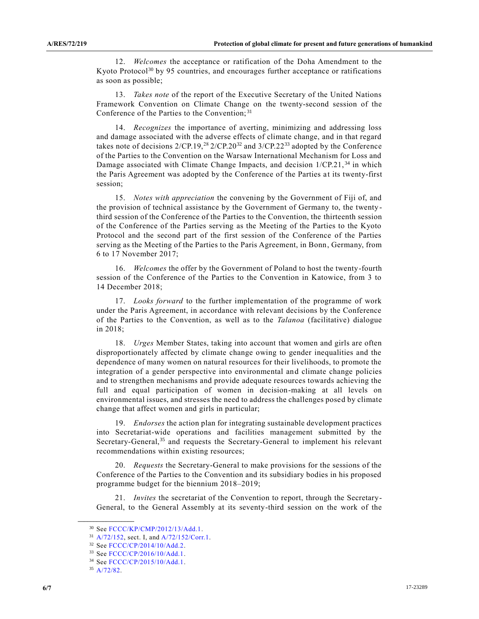12. *Welcomes* the acceptance or ratification of the Doha Amendment to the Kyoto Protocol<sup>30</sup> by 95 countries, and encourages further acceptance or ratifications as soon as possible;

13. *Takes note* of the report of the Executive Secretary of the United Nations Framework Convention on Climate Change on the twenty-second session of the Conference of the Parties to the Convention; <sup>31</sup>

14. *Recognizes* the importance of averting, minimizing and addressing loss and damage associated with the adverse effects of climate change, and in that regard takes note of decisions  $2/CP.19$ ,<sup>[28](#page-4-0)</sup>  $2/CP.20^{32}$  and  $3/CP.22^{33}$  adopted by the Conference of the Parties to the Convention on the Warsaw International Mechanism for Loss and Damage associated with Climate Change Impacts, and decision 1/CP.21,<sup>34</sup> in which the Paris Agreement was adopted by the Conference of the Parties at its twenty-first session;

15. *Notes with appreciation* the convening by the Government of Fiji of, and the provision of technical assistance by the Government of Germany to, the twenty third session of the Conference of the Parties to the Convention, the thirteenth session of the Conference of the Parties serving as the Meeting of the Parties to the Kyoto Protocol and the second part of the first session of the Conference of the Parties serving as the Meeting of the Parties to the Paris Agreement, in Bonn, Germany, from 6 to 17 November 2017;

16. *Welcomes* the offer by the Government of Poland to host the twenty-fourth session of the Conference of the Parties to the Convention in Katowice, from 3 to 14 December 2018;

17. *Looks forward* to the further implementation of the programme of work under the Paris Agreement, in accordance with relevant decisions by the Conference of the Parties to the Convention, as well as to the *Talanoa* (facilitative) dialogue in 2018;

18. *Urges* Member States, taking into account that women and girls are often disproportionately affected by climate change owing to gender inequalities and the dependence of many women on natural resources for their livelihoods, to promote the integration of a gender perspective into environmental and climate change policies and to strengthen mechanisms and provide adequate resources towards achieving the full and equal participation of women in decision-making at all levels on environmental issues, and stresses the need to address the challenges posed by climate change that affect women and girls in particular;

19. *Endorses* the action plan for integrating sustainable development practices into Secretariat-wide operations and facilities management submitted by the Secretary-General,<sup>35</sup> and requests the Secretary-General to implement his relevant recommendations within existing resources;

20. *Requests* the Secretary-General to make provisions for the sessions of the Conference of the Parties to the Convention and its subsidiary bodies in his proposed programme budget for the biennium 2018–2019;

21. *Invites* the secretariat of the Convention to report, through the Secretary-General, to the General Assembly at its seventy-third session on the work of the

<sup>30</sup> See [FCCC/KP/CMP/2012/13/Add.1.](https://undocs.org/FCCC/KP/CMP/2012/13/Add.1)

<sup>31</sup> [A/72/152,](https://undocs.org/A/72/152) sect. I, and [A/72/152/Corr.1.](https://undocs.org/A/72/152/Corr.1)

<sup>32</sup> See [FCCC/CP/2014/10/Add.2.](https://undocs.org/FCCC/CP/2014/10/Add.2)

<sup>33</sup> See [FCCC/CP/2016/10/Add.1.](https://undocs.org/FCCC/CP/2016/10/Add.1)

<sup>34</sup> See [FCCC/CP/2015/10/Add.1.](https://undocs.org/FCCC/CP/2015/10/Add.1)

<sup>35</sup> [A/72/82.](https://undocs.org/A/72/82)